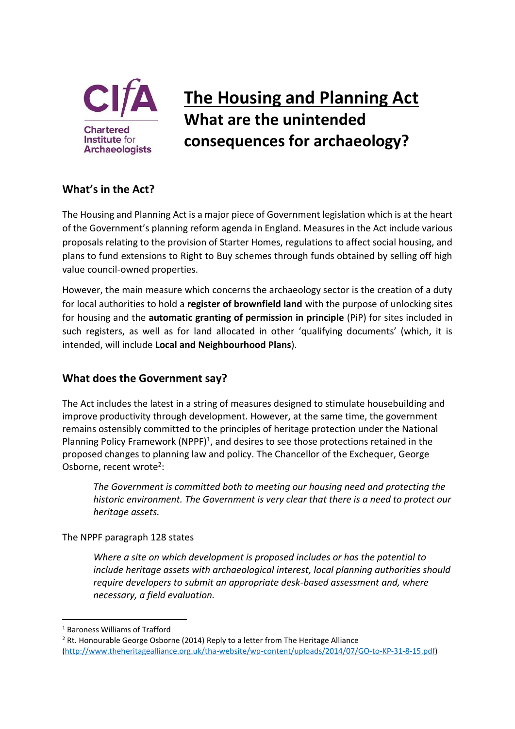

# **The Housing and Planning Act What are the unintended consequences for archaeology?**

# **What's in the Act?**

The Housing and Planning Act is a major piece of Government legislation which is at the heart of the Government's planning reform agenda in England. Measures in the Act include various proposals relating to the provision of Starter Homes, regulations to affect social housing, and plans to fund extensions to Right to Buy schemes through funds obtained by selling off high value council-owned properties.

However, the main measure which concerns the archaeology sector is the creation of a duty for local authorities to hold a **register of brownfield land** with the purpose of unlocking sites for housing and the **automatic granting of permission in principle** (PiP) for sites included in such registers, as well as for land allocated in other 'qualifying documents' (which, it is intended, will include **Local and Neighbourhood Plans**).

# **What does the Government say?**

The Act includes the latest in a string of measures designed to stimulate housebuilding and improve productivity through development. However, at the same time, the government remains ostensibly committed to the principles of heritage protection under the National Planning Policy Framework (NPPF)<sup>1</sup>, and desires to see those protections retained in the proposed changes to planning law and policy. The Chancellor of the Exchequer, George Osborne, recent wrote<sup>2</sup>:

*The Government is committed both to meeting our housing need and protecting the historic environment. The Government is very clear that there is a need to protect our heritage assets.*

The NPPF paragraph 128 states

*Where a site on which development is proposed includes or has the potential to include heritage assets with archaeological interest, local planning authorities should require developers to submit an appropriate desk-based assessment and, where necessary, a field evaluation.*

**.** 

<sup>1</sup> Baroness Williams of Trafford

<sup>&</sup>lt;sup>2</sup> Rt. Honourable George Osborne (2014) Reply to a letter from The Heritage Alliance [\(http://www.theheritagealliance.org.uk/tha-website/wp-content/uploads/2014/07/GO-to-KP-31-8-15.pdf\)](http://www.theheritagealliance.org.uk/tha-website/wp-content/uploads/2014/07/GO-to-KP-31-8-15.pdf)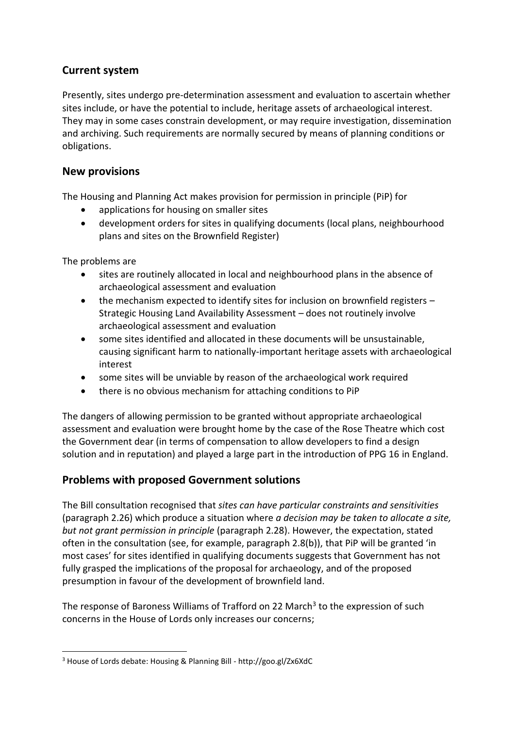# **Current system**

Presently, sites undergo pre-determination assessment and evaluation to ascertain whether sites include, or have the potential to include, heritage assets of archaeological interest. They may in some cases constrain development, or may require investigation, dissemination and archiving. Such requirements are normally secured by means of planning conditions or obligations.

#### **New provisions**

The Housing and Planning Act makes provision for permission in principle (PiP) for

- applications for housing on smaller sites
- development orders for sites in qualifying documents (local plans, neighbourhood plans and sites on the Brownfield Register)

The problems are

**.** 

- sites are routinely allocated in local and neighbourhood plans in the absence of archaeological assessment and evaluation
- the mechanism expected to identify sites for inclusion on brownfield registers Strategic Housing Land Availability Assessment – does not routinely involve archaeological assessment and evaluation
- some sites identified and allocated in these documents will be unsustainable, causing significant harm to nationally-important heritage assets with archaeological interest
- some sites will be unviable by reason of the archaeological work required
- there is no obvious mechanism for attaching conditions to PiP

The dangers of allowing permission to be granted without appropriate archaeological assessment and evaluation were brought home by the case of the Rose Theatre which cost the Government dear (in terms of compensation to allow developers to find a design solution and in reputation) and played a large part in the introduction of PPG 16 in England.

# **Problems with proposed Government solutions**

The Bill consultation recognised that *sites can have particular constraints and sensitivities*  (paragraph 2.26) which produce a situation where *a decision may be taken to allocate a site, but not grant permission in principle* (paragraph 2.28). However, the expectation, stated often in the consultation (see, for example, paragraph 2.8(b)), that PiP will be granted 'in most cases' for sites identified in qualifying documents suggests that Government has not fully grasped the implications of the proposal for archaeology, and of the proposed presumption in favour of the development of brownfield land.

The response of Baroness Williams of Trafford on 22 March<sup>3</sup> to the expression of such concerns in the House of Lords only increases our concerns;

<sup>3</sup> House of Lords debate: Housing & Planning Bill - http://goo.gl/Zx6XdC